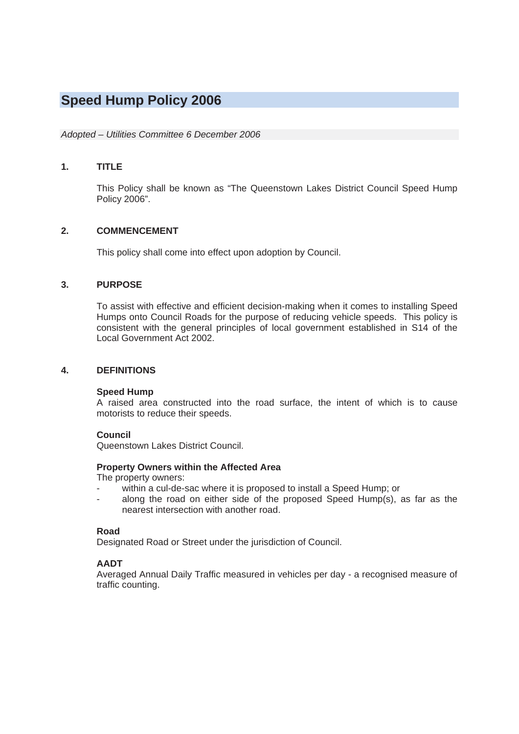# **Speed Hump Policy 2006**

# *Adopted – Utilities Committee 6 December 2006*

## **1. TITLE**

 This Policy shall be known as "The Queenstown Lakes District Council Speed Hump Policy 2006".

# **2. COMMENCEMENT**

This policy shall come into effect upon adoption by Council.

# **3. PURPOSE**

 To assist with effective and efficient decision-making when it comes to installing Speed Humps onto Council Roads for the purpose of reducing vehicle speeds. This policy is consistent with the general principles of local government established in S14 of the Local Government Act 2002.

# **4. DEFINITIONS**

## **Speed Hump**

A raised area constructed into the road surface, the intent of which is to cause motorists to reduce their speeds.

## **Council**

Queenstown Lakes District Council.

## **Property Owners within the Affected Area**

The property owners:

- within a cul-de-sac where it is proposed to install a Speed Hump; or
- along the road on either side of the proposed Speed Hump(s), as far as the nearest intersection with another road.

#### **Road**

Designated Road or Street under the jurisdiction of Council.

## **AADT**

Averaged Annual Daily Traffic measured in vehicles per day - a recognised measure of traffic counting.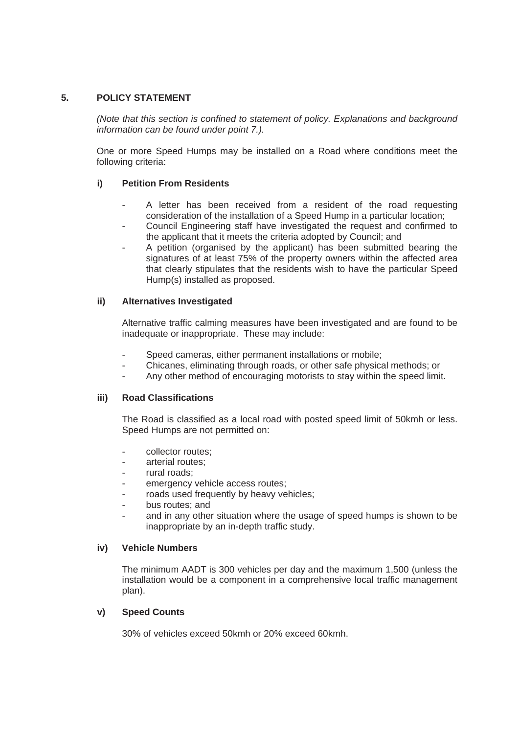# **5. POLICY STATEMENT**

 *(Note that this section is confined to statement of policy. Explanations and background information can be found under point 7.).* 

 One or more Speed Humps may be installed on a Road where conditions meet the following criteria:

# **i) Petition From Residents**

- A letter has been received from a resident of the road requesting consideration of the installation of a Speed Hump in a particular location;
- Council Engineering staff have investigated the request and confirmed to the applicant that it meets the criteria adopted by Council; and
- A petition (organised by the applicant) has been submitted bearing the signatures of at least 75% of the property owners within the affected area that clearly stipulates that the residents wish to have the particular Speed Hump(s) installed as proposed.

# **ii) Alternatives Investigated**

 Alternative traffic calming measures have been investigated and are found to be inadequate or inappropriate. These may include:

- Speed cameras, either permanent installations or mobile;
- Chicanes, eliminating through roads, or other safe physical methods; or
- Any other method of encouraging motorists to stay within the speed limit.

## **iii) Road Classifications**

 The Road is classified as a local road with posted speed limit of 50kmh or less. Speed Humps are not permitted on:

- collector routes;
- arterial routes;
- rural roads:
- emergency vehicle access routes;
- roads used frequently by heavy vehicles;
- bus routes; and
- and in any other situation where the usage of speed humps is shown to be inappropriate by an in-depth traffic study.

# **iv) Vehicle Numbers**

 The minimum AADT is 300 vehicles per day and the maximum 1,500 (unless the installation would be a component in a comprehensive local traffic management plan).

## **v) Speed Counts**

30% of vehicles exceed 50kmh or 20% exceed 60kmh.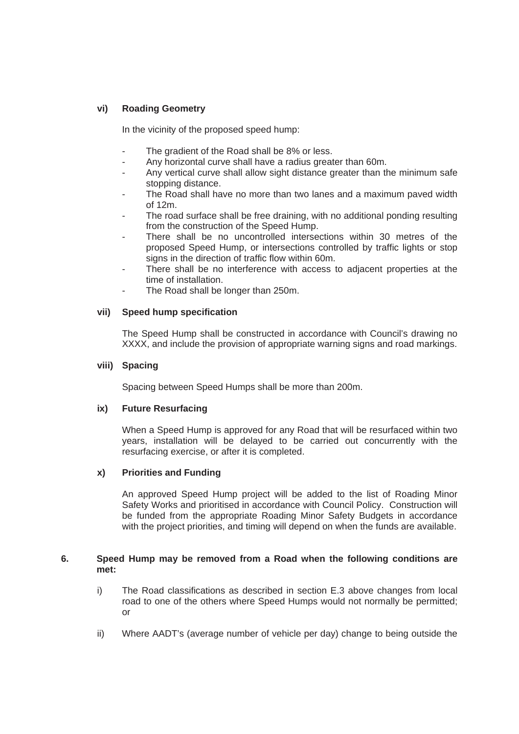# **vi) Roading Geometry**

In the vicinity of the proposed speed hump:

- The gradient of the Road shall be 8% or less.
- Any horizontal curve shall have a radius greater than 60m.
- Any vertical curve shall allow sight distance greater than the minimum safe stopping distance.
- The Road shall have no more than two lanes and a maximum paved width of 12m.
- The road surface shall be free draining, with no additional ponding resulting from the construction of the Speed Hump.
- There shall be no uncontrolled intersections within 30 metres of the proposed Speed Hump, or intersections controlled by traffic lights or stop signs in the direction of traffic flow within 60m.
- There shall be no interference with access to adjacent properties at the time of installation.
- The Road shall be longer than 250m.

## **vii) Speed hump specification**

 The Speed Hump shall be constructed in accordance with Council's drawing no XXXX, and include the provision of appropriate warning signs and road markings.

## **viii) Spacing**

Spacing between Speed Humps shall be more than 200m.

## **ix) Future Resurfacing**

 When a Speed Hump is approved for any Road that will be resurfaced within two years, installation will be delayed to be carried out concurrently with the resurfacing exercise, or after it is completed.

## **x) Priorities and Funding**

 An approved Speed Hump project will be added to the list of Roading Minor Safety Works and prioritised in accordance with Council Policy. Construction will be funded from the appropriate Roading Minor Safety Budgets in accordance with the project priorities, and timing will depend on when the funds are available.

## **6. Speed Hump may be removed from a Road when the following conditions are met:**

- i) The Road classifications as described in section E.3 above changes from local road to one of the others where Speed Humps would not normally be permitted; or
- ii) Where AADT's (average number of vehicle per day) change to being outside the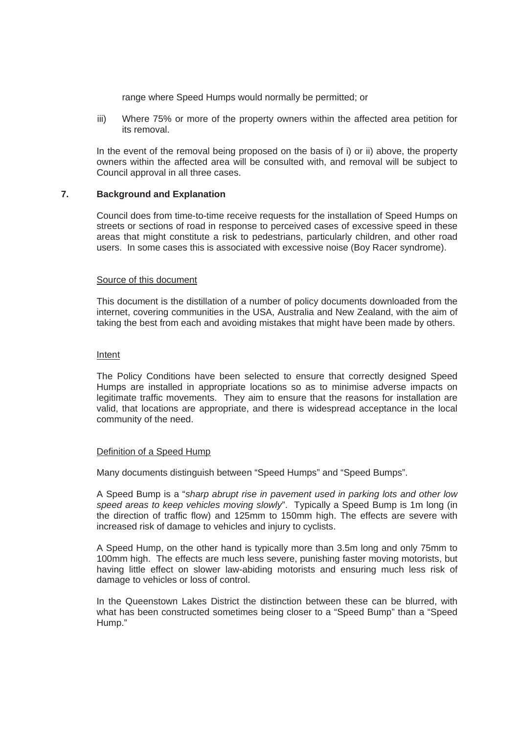range where Speed Humps would normally be permitted; or

iii) Where 75% or more of the property owners within the affected area petition for its removal.

 In the event of the removal being proposed on the basis of i) or ii) above, the property owners within the affected area will be consulted with, and removal will be subject to Council approval in all three cases.

## **7. Background and Explanation**

 Council does from time-to-time receive requests for the installation of Speed Humps on streets or sections of road in response to perceived cases of excessive speed in these areas that might constitute a risk to pedestrians, particularly children, and other road users. In some cases this is associated with excessive noise (Boy Racer syndrome).

#### Source of this document

 This document is the distillation of a number of policy documents downloaded from the internet, covering communities in the USA, Australia and New Zealand, with the aim of taking the best from each and avoiding mistakes that might have been made by others.

#### Intent

 The Policy Conditions have been selected to ensure that correctly designed Speed Humps are installed in appropriate locations so as to minimise adverse impacts on legitimate traffic movements. They aim to ensure that the reasons for installation are valid, that locations are appropriate, and there is widespread acceptance in the local community of the need.

#### Definition of a Speed Hump

Many documents distinguish between "Speed Humps" and "Speed Bumps".

 A Speed Bump is a "*sharp abrupt rise in pavement used in parking lots and other low speed areas to keep vehicles moving slowly*". Typically a Speed Bump is 1m long (in the direction of traffic flow) and 125mm to 150mm high. The effects are severe with increased risk of damage to vehicles and injury to cyclists.

 A Speed Hump, on the other hand is typically more than 3.5m long and only 75mm to 100mm high. The effects are much less severe, punishing faster moving motorists, but having little effect on slower law-abiding motorists and ensuring much less risk of damage to vehicles or loss of control.

 In the Queenstown Lakes District the distinction between these can be blurred, with what has been constructed sometimes being closer to a "Speed Bump" than a "Speed Hump."